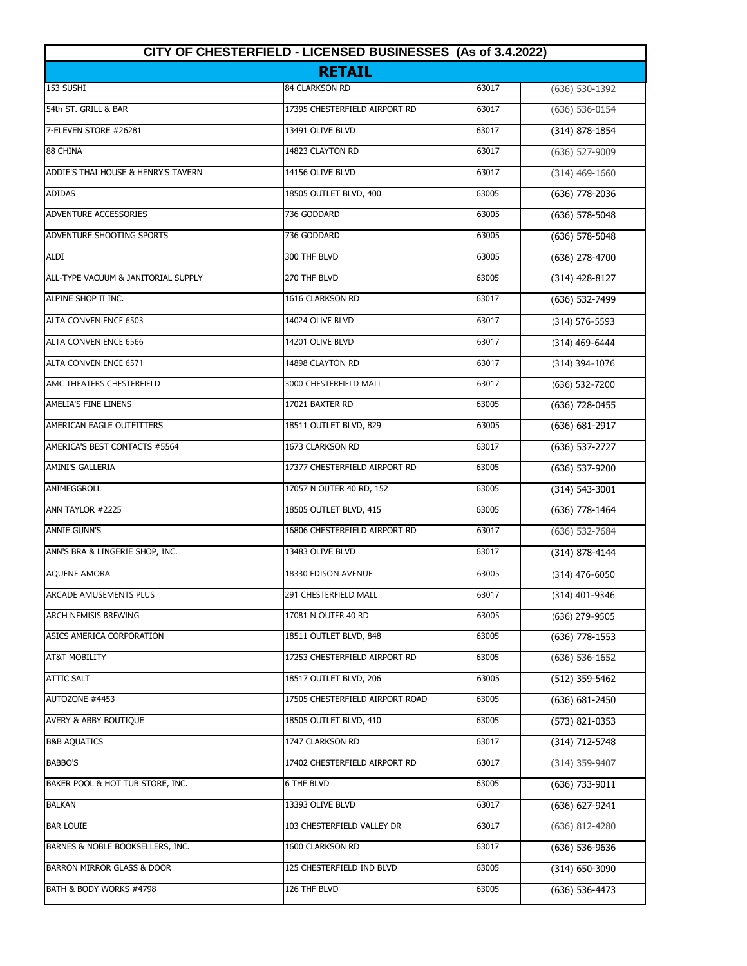| CITY OF CHESTERFIELD - LICENSED BUSINESSES (As of 3.4.2022) |                                 |       |                    |
|-------------------------------------------------------------|---------------------------------|-------|--------------------|
|                                                             | <b>RETAIL</b>                   |       |                    |
| 153 SUSHI                                                   | 84 CLARKSON RD                  | 63017 | (636) 530-1392     |
| 54th ST. GRILL & BAR                                        | 17395 CHESTERFIELD AIRPORT RD   | 63017 | (636) 536-0154     |
| 7-ELEVEN STORE #26281                                       | 13491 OLIVE BLVD                | 63017 | $(314) 878 - 1854$ |
| 88 CHINA                                                    | 14823 CLAYTON RD                | 63017 | $(636)$ 527-9009   |
| ADDIE'S THAI HOUSE & HENRY'S TAVERN                         | 14156 OLIVE BLVD                | 63017 | $(314)$ 469-1660   |
| ADIDAS                                                      | 18505 OUTLET BLVD, 400          | 63005 | (636) 778-2036     |
| ADVENTURE ACCESSORIES                                       | 736 GODDARD                     | 63005 | (636) 578-5048     |
| ADVENTURE SHOOTING SPORTS                                   | 736 GODDARD                     | 63005 | (636) 578-5048     |
| <b>ALDI</b>                                                 | 300 THF BLVD                    | 63005 | $(636)$ 278-4700   |
| ALL-TYPE VACUUM & JANITORIAL SUPPLY                         | 270 THF BLVD                    | 63005 | $(314)$ 428-8127   |
| ALPINE SHOP II INC.                                         | 1616 CLARKSON RD                | 63017 | (636) 532-7499     |
| <b>ALTA CONVENIENCE 6503</b>                                | 14024 OLIVE BLVD                | 63017 | (314) 576-5593     |
| <b>ALTA CONVENIENCE 6566</b>                                | 14201 OLIVE BLVD                | 63017 | (314) 469-6444     |
| <b>ALTA CONVENIENCE 6571</b>                                | 14898 CLAYTON RD                | 63017 | (314) 394-1076     |
| AMC THEATERS CHESTERFIELD                                   | 3000 CHESTERFIELD MALL          | 63017 | (636) 532-7200     |
| AMELIA'S FINE LINENS                                        | 17021 BAXTER RD                 | 63005 | (636) 728-0455     |
| AMERICAN EAGLE OUTFITTERS                                   | 18511 OUTLET BLVD, 829          | 63005 | (636) 681-2917     |
| AMERICA'S BEST CONTACTS #5564                               | 1673 CLARKSON RD                | 63017 | (636) 537-2727     |
| <b>AMINI'S GALLERIA</b>                                     | 17377 CHESTERFIELD AIRPORT RD   | 63005 | $(636) 537-9200$   |
| ANIMEGGROLL                                                 | 17057 N OUTER 40 RD, 152        | 63005 | $(314) 543 - 3001$ |
| ANN TAYLOR #2225                                            | 18505 OUTLET BLVD, 415          | 63005 | $(636)$ 778-1464   |
| <b>ANNIE GUNN'S</b>                                         | 16806 CHESTERFIELD AIRPORT RD   | 63017 | (636) 532-7684     |
| ANN'S BRA & LINGERIE SHOP, INC.                             | 13483 OLIVE BLVD                | 63017 | (314) 878-4144     |
| <b>AQUENE AMORA</b>                                         | 18330 EDISON AVENUE             | 63005 | (314) 476-6050     |
| ARCADE AMUSEMENTS PLUS                                      | 291 CHESTERFIELD MALL           | 63017 | (314) 401-9346     |
| <b>ARCH NEMISIS BREWING</b>                                 | 17081 N OUTER 40 RD             | 63005 | (636) 279-9505     |
| ASICS AMERICA CORPORATION                                   | 18511 OUTLET BLVD, 848          | 63005 | $(636)$ 778-1553   |
| <b>AT&amp;T MOBILITY</b>                                    | 17253 CHESTERFIELD AIRPORT RD   | 63005 | $(636) 536 - 1652$ |
| <b>ATTIC SALT</b>                                           | 18517 OUTLET BLVD, 206          | 63005 | (512) 359-5462     |
| AUTOZONE #4453                                              | 17505 CHESTERFIELD AIRPORT ROAD | 63005 | (636) 681-2450     |
| AVERY & ABBY BOUTIQUE                                       | 18505 OUTLET BLVD, 410          | 63005 | (573) 821-0353     |
| <b>B&amp;B AQUATICS</b>                                     | 1747 CLARKSON RD                | 63017 | (314) 712-5748     |
| BABBO'S                                                     | 17402 CHESTERFIELD AIRPORT RD   | 63017 | (314) 359-9407     |
| BAKER POOL & HOT TUB STORE, INC.                            | 6 THF BLVD                      | 63005 | (636) 733-9011     |
| <b>BALKAN</b>                                               | 13393 OLIVE BLVD                | 63017 | (636) 627-9241     |
| <b>BAR LOUIE</b>                                            | 103 CHESTERFIELD VALLEY DR      | 63017 | (636) 812-4280     |
| BARNES & NOBLE BOOKSELLERS, INC.                            | 1600 CLARKSON RD                | 63017 | (636) 536-9636     |
| BARRON MIRROR GLASS & DOOR                                  | 125 CHESTERFIELD IND BLVD       | 63005 | $(314)$ 650-3090   |
| BATH & BODY WORKS #4798                                     | 126 THF BLVD                    | 63005 | (636) 536-4473     |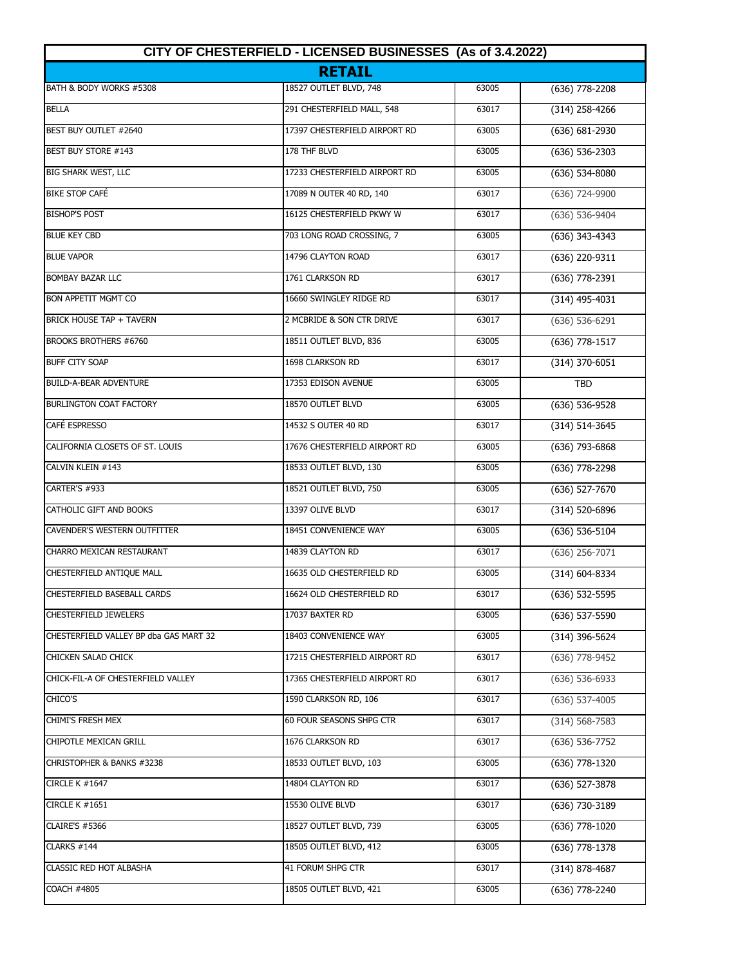| CITY OF CHESTERFIELD - LICENSED BUSINESSES (As of 3.4.2022)<br><b>RETAIL</b> |                               |       |                    |
|------------------------------------------------------------------------------|-------------------------------|-------|--------------------|
|                                                                              |                               |       |                    |
| <b>BELLA</b>                                                                 | 291 CHESTERFIELD MALL, 548    | 63017 | $(314)$ 258-4266   |
| BEST BUY OUTLET #2640                                                        | 17397 CHESTERFIELD AIRPORT RD | 63005 | $(636) 681 - 2930$ |
| BEST BUY STORE #143                                                          | 178 THF BLVD                  | 63005 | $(636) 536 - 2303$ |
| BIG SHARK WEST, LLC                                                          | 17233 CHESTERFIELD AIRPORT RD | 63005 | $(636) 534-8080$   |
| <b>BIKE STOP CAFÉ</b>                                                        | 17089 N OUTER 40 RD, 140      | 63017 | (636) 724-9900     |
| <b>BISHOP'S POST</b>                                                         | 16125 CHESTERFIELD PKWY W     | 63017 | (636) 536-9404     |
| <b>BLUE KEY CBD</b>                                                          | 703 LONG ROAD CROSSING, 7     | 63005 | (636) 343-4343     |
| <b>BLUE VAPOR</b>                                                            | 14796 CLAYTON ROAD            | 63017 | (636) 220-9311     |
| <b>BOMBAY BAZAR LLC</b>                                                      | 1761 CLARKSON RD              | 63017 | (636) 778-2391     |
| <b>BON APPETIT MGMT CO</b>                                                   | 16660 SWINGLEY RIDGE RD       | 63017 | $(314)$ 495-4031   |
| <b>BRICK HOUSE TAP + TAVERN</b>                                              | 2 MCBRIDE & SON CTR DRIVE     | 63017 | $(636) 536 - 6291$ |
| <b>BROOKS BROTHERS #6760</b>                                                 | 18511 OUTLET BLVD, 836        | 63005 | (636) 778-1517     |
| <b>BUFF CITY SOAP</b>                                                        | 1698 CLARKSON RD              | 63017 | $(314)$ 370-6051   |
| <b>BUILD-A-BEAR ADVENTURE</b>                                                | 17353 EDISON AVENUE           | 63005 | <b>TBD</b>         |
| <b>BURLINGTON COAT FACTORY</b>                                               | 18570 OUTLET BLVD             | 63005 | (636) 536-9528     |
| <b>CAFÉ ESPRESSO</b>                                                         | 14532 S OUTER 40 RD           | 63017 | (314) 514-3645     |
| CALIFORNIA CLOSETS OF ST. LOUIS                                              | 17676 CHESTERFIELD AIRPORT RD | 63005 | (636) 793-6868     |
| CALVIN KLEIN #143                                                            | 18533 OUTLET BLVD, 130        | 63005 | (636) 778-2298     |
| CARTER'S #933                                                                | 18521 OUTLET BLVD, 750        | 63005 | (636) 527-7670     |
| CATHOLIC GIFT AND BOOKS                                                      | 13397 OLIVE BLVD              | 63017 | (314) 520-6896     |
| <b>CAVENDER'S WESTERN OUTFITTER</b>                                          | 18451 CONVENIENCE WAY         | 63005 | (636) 536-5104     |
| CHARRO MEXICAN RESTAURANT                                                    | 14839 CLAYTON RD              | 63017 | $(636)$ 256-7071   |
| CHESTERFIELD ANTIQUE MALL                                                    | 16635 OLD CHESTERFIELD RD     | 63005 | (314) 604-8334     |
| CHESTERFIELD BASEBALL CARDS                                                  | 16624 OLD CHESTERFIELD RD     | 63017 | (636) 532-5595     |
| <b>CHESTERFIELD JEWELERS</b>                                                 | 17037 BAXTER RD               | 63005 | (636) 537-5590     |
| CHESTERFIELD VALLEY BP dba GAS MART 32                                       | 18403 CONVENIENCE WAY         | 63005 | (314) 396-5624     |
| CHICKEN SALAD CHICK                                                          | 17215 CHESTERFIELD AIRPORT RD | 63017 | (636) 778-9452     |
| CHICK-FIL-A OF CHESTERFIELD VALLEY                                           | 17365 CHESTERFIELD AIRPORT RD | 63017 | $(636) 536 - 6933$ |
| CHICO'S                                                                      | 1590 CLARKSON RD, 106         | 63017 | $(636)$ 537-4005   |
| <b>CHIMI'S FRESH MEX</b>                                                     | 60 FOUR SEASONS SHPG CTR      | 63017 | $(314) 568 - 7583$ |
| CHIPOTLE MEXICAN GRILL                                                       | 1676 CLARKSON RD              | 63017 | (636) 536-7752     |
| CHRISTOPHER & BANKS #3238                                                    | 18533 OUTLET BLVD, 103        | 63005 | (636) 778-1320     |
| <b>CIRCLE K #1647</b>                                                        | 14804 CLAYTON RD              | 63017 | (636) 527-3878     |
| <b>CIRCLE K #1651</b>                                                        | 15530 OLIVE BLVD              | 63017 | (636) 730-3189     |
| <b>CLAIRE'S #5366</b>                                                        | 18527 OUTLET BLVD, 739        | 63005 | (636) 778-1020     |
| CLARKS #144                                                                  | 18505 OUTLET BLVD, 412        | 63005 | (636) 778-1378     |
| CLASSIC RED HOT ALBASHA                                                      | 41 FORUM SHPG CTR             | 63017 | $(314)$ 878-4687   |
| <b>COACH #4805</b>                                                           | 18505 OUTLET BLVD, 421        | 63005 | (636) 778-2240     |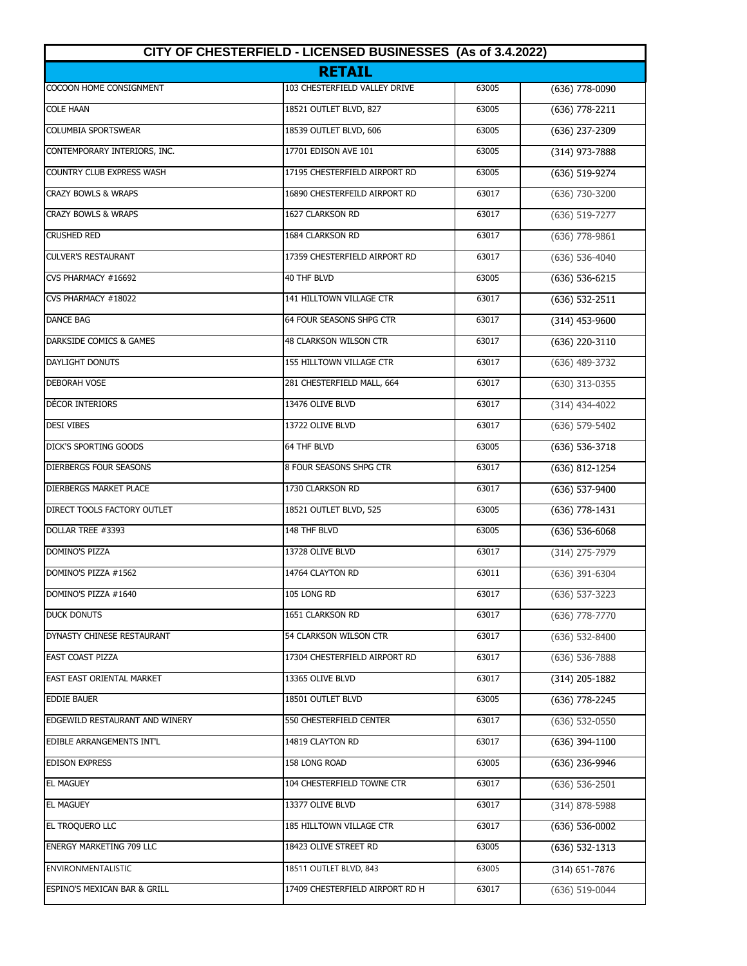| CITY OF CHESTERFIELD - LICENSED BUSINESSES (As of 3.4.2022) |                                 |       |                    |
|-------------------------------------------------------------|---------------------------------|-------|--------------------|
|                                                             | <b>RETAIL</b>                   |       |                    |
| COCOON HOME CONSIGNMENT                                     | 103 CHESTERFIELD VALLEY DRIVE   | 63005 | (636) 778-0090     |
| <b>COLE HAAN</b>                                            | 18521 OUTLET BLVD, 827          | 63005 | (636) 778-2211     |
| <b>COLUMBIA SPORTSWEAR</b>                                  | 18539 OUTLET BLVD, 606          | 63005 | $(636)$ 237-2309   |
| CONTEMPORARY INTERIORS, INC.                                | 17701 EDISON AVE 101            | 63005 | $(314)$ 973-7888   |
| <b>COUNTRY CLUB EXPRESS WASH</b>                            | 17195 CHESTERFIELD AIRPORT RD   | 63005 | (636) 519-9274     |
| <b>CRAZY BOWLS &amp; WRAPS</b>                              | 16890 CHESTERFEILD AIRPORT RD   | 63017 | (636) 730-3200     |
| <b>CRAZY BOWLS &amp; WRAPS</b>                              | 1627 CLARKSON RD                | 63017 | (636) 519-7277     |
| <b>CRUSHED RED</b>                                          | 1684 CLARKSON RD                | 63017 | $(636)$ 778-9861   |
| <b>CULVER'S RESTAURANT</b>                                  | 17359 CHESTERFIELD AIRPORT RD   | 63017 | $(636) 536 - 4040$ |
| CVS PHARMACY #16692                                         | 40 THF BLVD                     | 63005 | $(636)$ 536-6215   |
| CVS PHARMACY #18022                                         | 141 HILLTOWN VILLAGE CTR        | 63017 | (636) 532-2511     |
| <b>DANCE BAG</b>                                            | 64 FOUR SEASONS SHPG CTR        | 63017 | $(314)$ 453-9600   |
| DARKSIDE COMICS & GAMES                                     | 48 CLARKSON WILSON CTR          | 63017 | (636) 220-3110     |
| <b>DAYLIGHT DONUTS</b>                                      | 155 HILLTOWN VILLAGE CTR        | 63017 | (636) 489-3732     |
| <b>DEBORAH VOSE</b>                                         | 281 CHESTERFIELD MALL, 664      | 63017 | (630) 313-0355     |
| DÉCOR INTERIORS                                             | 13476 OLIVE BLVD                | 63017 | $(314)$ 434-4022   |
| <b>DESI VIBES</b>                                           | 13722 OLIVE BLVD                | 63017 | (636) 579-5402     |
| DICK'S SPORTING GOODS                                       | 64 THF BLVD                     | 63005 | (636) 536-3718     |
| <b>DIERBERGS FOUR SEASONS</b>                               | 8 FOUR SEASONS SHPG CTR         | 63017 | (636) 812-1254     |
| DIERBERGS MARKET PLACE                                      | 1730 CLARKSON RD                | 63017 | (636) 537-9400     |
| DIRECT TOOLS FACTORY OUTLET                                 | 18521 OUTLET BLVD, 525          | 63005 | $(636)$ 778-1431   |
| DOLLAR TREE #3393                                           | 148 THF BLVD                    | 63005 | $(636) 536 - 6068$ |
| <b>DOMINO'S PIZZA</b>                                       | 13728 OLIVE BLVD                | 63017 | (314) 275-7979     |
| DOMINO'S PIZZA #1562                                        | 14764 CLAYTON RD                | 63011 | $(636)$ 391-6304   |
| DOMINO'S PIZZA #1640                                        | 105 LONG RD                     | 63017 | $(636)$ 537-3223   |
| <b>DUCK DONUTS</b>                                          | 1651 CLARKSON RD                | 63017 | $(636)$ 778-7770   |
| DYNASTY CHINESE RESTAURANT                                  | 54 CLARKSON WILSON CTR          | 63017 | $(636)$ 532-8400   |
| <b>EAST COAST PIZZA</b>                                     | 17304 CHESTERFIELD AIRPORT RD   | 63017 | $(636)$ 536-7888   |
| EAST EAST ORIENTAL MARKET                                   | 13365 OLIVE BLVD                | 63017 | $(314)$ 205-1882   |
| <b>EDDIE BAUER</b>                                          | 18501 OUTLET BLVD               | 63005 | (636) 778-2245     |
| EDGEWILD RESTAURANT AND WINERY                              | 550 CHESTERFIELD CENTER         | 63017 | $(636)$ 532-0550   |
| EDIBLE ARRANGEMENTS INT'L                                   | 14819 CLAYTON RD                | 63017 | $(636)$ 394-1100   |
| <b>EDISON EXPRESS</b>                                       | 158 LONG ROAD                   | 63005 | (636) 236-9946     |
| <b>EL MAGUEY</b>                                            | 104 CHESTERFIELD TOWNE CTR      | 63017 | (636) 536-2501     |
| <b>EL MAGUEY</b>                                            | 13377 OLIVE BLVD                | 63017 | (314) 878-5988     |
| EL TROQUERO LLC                                             | 185 HILLTOWN VILLAGE CTR        | 63017 | (636) 536-0002     |
| <b>ENERGY MARKETING 709 LLC</b>                             | 18423 OLIVE STREET RD           | 63005 | $(636)$ 532-1313   |
| <b>ENVIRONMENTALISTIC</b>                                   | 18511 OUTLET BLVD, 843          | 63005 | (314) 651-7876     |
| ESPINO'S MEXICAN BAR & GRILL                                | 17409 CHESTERFIELD AIRPORT RD H | 63017 | (636) 519-0044     |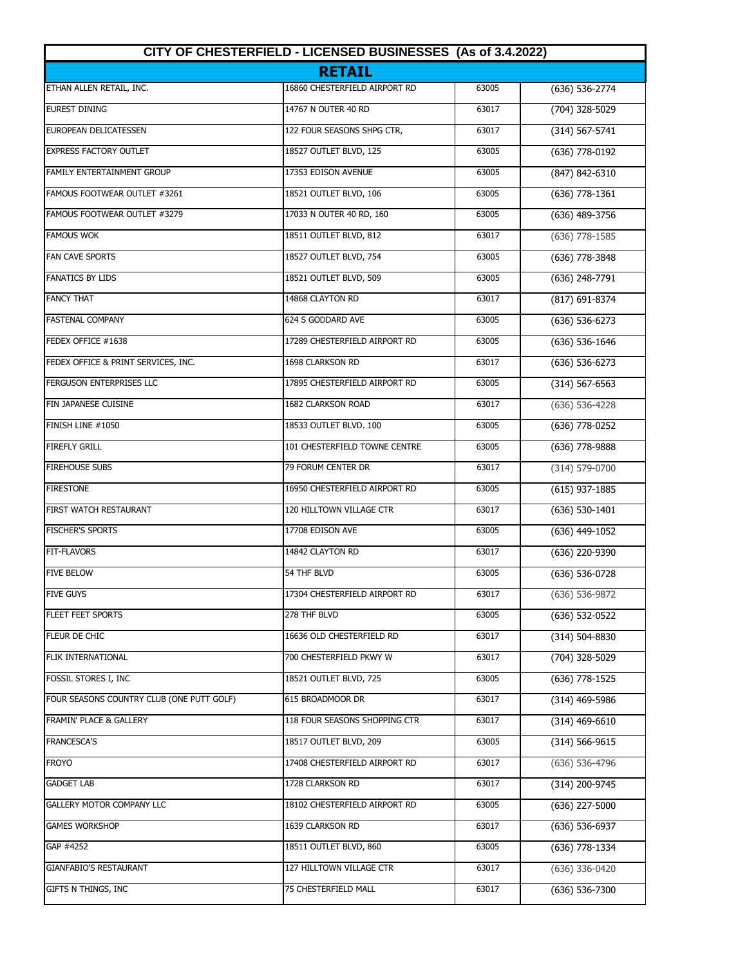| CITY OF CHESTERFIELD - LICENSED BUSINESSES (As of 3.4.2022)<br><b>RETAIL</b> |                               |       |                    |
|------------------------------------------------------------------------------|-------------------------------|-------|--------------------|
|                                                                              |                               |       |                    |
| <b>EUREST DINING</b>                                                         | 14767 N OUTER 40 RD           | 63017 | (704) 328-5029     |
| EUROPEAN DELICATESSEN                                                        | 122 FOUR SEASONS SHPG CTR,    | 63017 | $(314) 567 - 5741$ |
| <b>EXPRESS FACTORY OUTLET</b>                                                | 18527 OUTLET BLVD, 125        | 63005 | (636) 778-0192     |
| FAMILY ENTERTAINMENT GROUP                                                   | 17353 EDISON AVENUE           | 63005 | (847) 842-6310     |
| FAMOUS FOOTWEAR OUTLET #3261                                                 | 18521 OUTLET BLVD, 106        | 63005 | $(636)$ 778-1361   |
| FAMOUS FOOTWEAR OUTLET #3279                                                 | 17033 N OUTER 40 RD, 160      | 63005 | (636) 489-3756     |
| <b>FAMOUS WOK</b>                                                            | 18511 OUTLET BLVD, 812        | 63017 | $(636)$ 778-1585   |
| <b>FAN CAVE SPORTS</b>                                                       | 18527 OUTLET BLVD, 754        | 63005 | (636) 778-3848     |
| <b>FANATICS BY LIDS</b>                                                      | 18521 OUTLET BLVD, 509        | 63005 | (636) 248-7791     |
| <b>FANCY THAT</b>                                                            | 14868 CLAYTON RD              | 63017 | (817) 691-8374     |
| <b>FASTENAL COMPANY</b>                                                      | 624 S GODDARD AVE             | 63005 | $(636) 536-6273$   |
| FEDEX OFFICE #1638                                                           | 17289 CHESTERFIELD AIRPORT RD | 63005 | $(636) 536 - 1646$ |
| FEDEX OFFICE & PRINT SERVICES, INC.                                          | 1698 CLARKSON RD              | 63017 | $(636) 536-6273$   |
| FERGUSON ENTERPRISES LLC                                                     | 17895 CHESTERFIELD AIRPORT RD | 63005 | $(314) 567 - 6563$ |
| FIN JAPANESE CUISINE                                                         | 1682 CLARKSON ROAD            | 63017 | $(636) 536 - 4228$ |
| FINISH LINE #1050                                                            | 18533 OUTLET BLVD. 100        | 63005 | (636) 778-0252     |
| <b>FIREFLY GRILL</b>                                                         | 101 CHESTERFIELD TOWNE CENTRE | 63005 | (636) 778-9888     |
| <b>FIREHOUSE SUBS</b>                                                        | 79 FORUM CENTER DR            | 63017 | (314) 579-0700     |
| <b>FIRESTONE</b>                                                             | 16950 CHESTERFIELD AIRPORT RD | 63005 | $(615)$ 937-1885   |
| FIRST WATCH RESTAURANT                                                       | 120 HILLTOWN VILLAGE CTR      | 63017 | $(636) 530-1401$   |
| <b>FISCHER'S SPORTS</b>                                                      | 17708 EDISON AVE              | 63005 | $(636)$ 449-1052   |
| <b>FIT-FLAVORS</b>                                                           | 14842 CLAYTON RD              | 63017 | (636) 220-9390     |
| <b>FIVE BELOW</b>                                                            | 54 THF BLVD                   | 63005 | (636) 536-0728     |
| <b>FIVE GUYS</b>                                                             | 17304 CHESTERFIELD AIRPORT RD | 63017 | (636) 536-9872     |
| FLEET FEET SPORTS                                                            | 278 THF BLVD                  | 63005 | (636) 532-0522     |
| FLEUR DE CHIC                                                                | 16636 OLD CHESTERFIELD RD     | 63017 | (314) 504-8830     |
| FLIK INTERNATIONAL                                                           | 700 CHESTERFIELD PKWY W       | 63017 | (704) 328-5029     |
| FOSSIL STORES I, INC                                                         | 18521 OUTLET BLVD, 725        | 63005 | (636) 778-1525     |
| FOUR SEASONS COUNTRY CLUB (ONE PUTT GOLF)                                    | 615 BROADMOOR DR              | 63017 | (314) 469-5986     |
| FRAMIN' PLACE & GALLERY                                                      | 118 FOUR SEASONS SHOPPING CTR | 63017 | $(314)$ 469-6610   |
| <b>FRANCESCA'S</b>                                                           | 18517 OUTLET BLVD, 209        | 63005 | $(314) 566 - 9615$ |
| <b>FROYO</b>                                                                 | 17408 CHESTERFIELD AIRPORT RD | 63017 | $(636)$ 536-4796   |
| <b>GADGET LAB</b>                                                            | 1728 CLARKSON RD              | 63017 | (314) 200-9745     |
| GALLERY MOTOR COMPANY LLC                                                    | 18102 CHESTERFIELD AIRPORT RD | 63005 | $(636)$ 227-5000   |
| <b>GAMES WORKSHOP</b>                                                        | 1639 CLARKSON RD              | 63017 | (636) 536-6937     |
| GAP #4252                                                                    | 18511 OUTLET BLVD, 860        | 63005 | (636) 778-1334     |
| GIANFABIO'S RESTAURANT                                                       | 127 HILLTOWN VILLAGE CTR      | 63017 | (636) 336-0420     |
| GIFTS N THINGS, INC                                                          | 75 CHESTERFIELD MALL          | 63017 | (636) 536-7300     |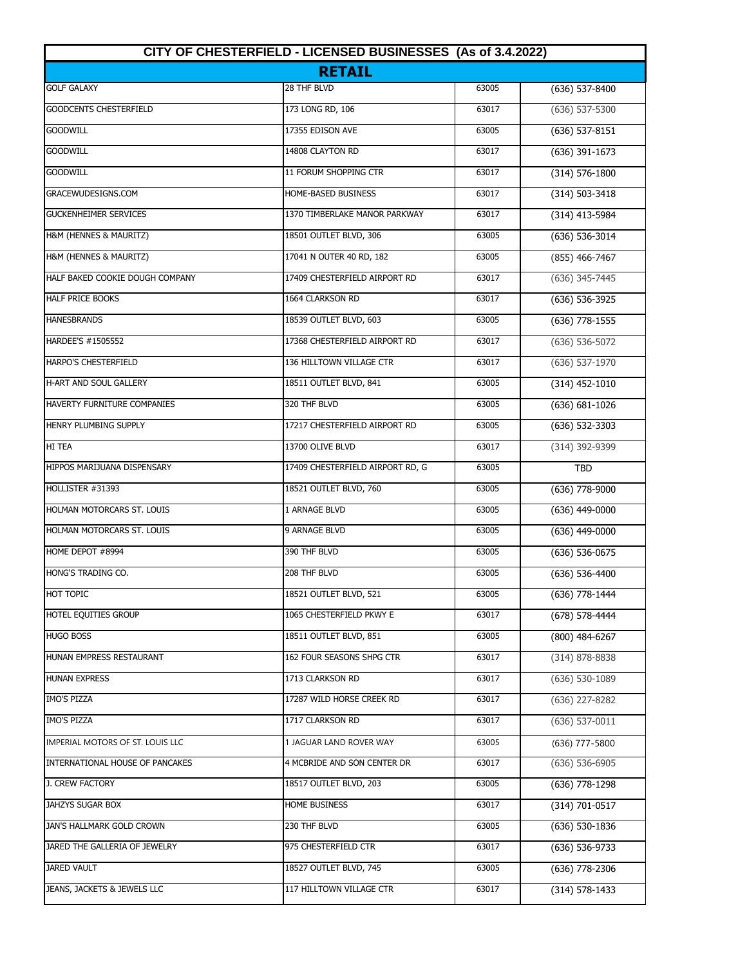| CITY OF CHESTERFIELD - LICENSED BUSINESSES (As of 3.4.2022) |                                  |       |                    |
|-------------------------------------------------------------|----------------------------------|-------|--------------------|
|                                                             | <b>RETAIL</b>                    |       |                    |
| <b>GOLF GALAXY</b>                                          | 28 THF BLVD                      | 63005 | $(636)$ 537-8400   |
| <b>GOODCENTS CHESTERFIELD</b>                               | 173 LONG RD, 106                 | 63017 | $(636)$ 537-5300   |
| <b>GOODWILL</b>                                             | 17355 EDISON AVE                 | 63005 | $(636)$ 537-8151   |
| <b>GOODWILL</b>                                             | 14808 CLAYTON RD                 | 63017 | $(636)$ 391-1673   |
| <b>GOODWILL</b>                                             | 11 FORUM SHOPPING CTR            | 63017 | $(314) 576 - 1800$ |
| GRACEWUDESIGNS.COM                                          | HOME-BASED BUSINESS              | 63017 | $(314) 503 - 3418$ |
| <b>GUCKENHEIMER SERVICES</b>                                | 1370 TIMBERLAKE MANOR PARKWAY    | 63017 | $(314)$ 413-5984   |
| H&M (HENNES & MAURITZ)                                      | 18501 OUTLET BLVD, 306           | 63005 | $(636) 536 - 3014$ |
| H&M (HENNES & MAURITZ)                                      | 17041 N OUTER 40 RD, 182         | 63005 | (855) 466-7467     |
| HALF BAKED COOKIE DOUGH COMPANY                             | 17409 CHESTERFIELD AIRPORT RD    | 63017 | (636) 345-7445     |
| <b>HALF PRICE BOOKS</b>                                     | 1664 CLARKSON RD                 | 63017 | (636) 536-3925     |
| <b>HANESBRANDS</b>                                          | 18539 OUTLET BLVD, 603           | 63005 | $(636)$ 778-1555   |
| HARDEE'S #1505552                                           | 17368 CHESTERFIELD AIRPORT RD    | 63017 | $(636) 536 - 5072$ |
| HARPO'S CHESTERFIELD                                        | 136 HILLTOWN VILLAGE CTR         | 63017 | $(636)$ 537-1970   |
| <b>H-ART AND SOUL GALLERY</b>                               | 18511 OUTLET BLVD, 841           | 63005 | $(314)$ 452-1010   |
| HAVERTY FURNITURE COMPANIES                                 | 320 THF BLVD                     | 63005 | $(636) 681 - 1026$ |
| HENRY PLUMBING SUPPLY                                       | 17217 CHESTERFIELD AIRPORT RD    | 63005 | $(636) 532-3303$   |
| HI TEA                                                      | 13700 OLIVE BLVD                 | 63017 | (314) 392-9399     |
| HIPPOS MARIJUANA DISPENSARY                                 | 17409 CHESTERFIELD AIRPORT RD, G | 63005 | <b>TBD</b>         |
| HOLLISTER #31393                                            | 18521 OUTLET BLVD, 760           | 63005 | $(636)$ 778-9000   |
| HOLMAN MOTORCARS ST. LOUIS                                  | 1 ARNAGE BLVD                    | 63005 | $(636)$ 449-0000   |
| HOLMAN MOTORCARS ST. LOUIS                                  | 9 ARNAGE BLVD                    | 63005 | $(636)$ 449-0000   |
| HOME DEPOT #8994                                            | 390 THF BLVD                     | 63005 | $(636) 536 - 0675$ |
| HONG'S TRADING CO.                                          | 208 THF BLVD                     | 63005 | $(636) 536 - 4400$ |
| HOT TOPIC                                                   | 18521 OUTLET BLVD, 521           | 63005 | (636) 778-1444     |
| HOTEL EQUITIES GROUP                                        | 1065 CHESTERFIELD PKWY E         | 63017 | (678) 578-4444     |
| <b>HUGO BOSS</b>                                            | 18511 OUTLET BLVD, 851           | 63005 | $(800)$ 484-6267   |
| HUNAN EMPRESS RESTAURANT                                    | 162 FOUR SEASONS SHPG CTR        | 63017 | $(314) 878 - 8838$ |
| <b>HUNAN EXPRESS</b>                                        | 1713 CLARKSON RD                 | 63017 | $(636) 530 - 1089$ |
| <b>IMO'S PIZZA</b>                                          | 17287 WILD HORSE CREEK RD        | 63017 | (636) 227-8282     |
| IMO'S PIZZA                                                 | 1717 CLARKSON RD                 | 63017 | $(636)$ 537-0011   |
| IMPERIAL MOTORS OF ST. LOUIS LLC                            | 1 JAGUAR LAND ROVER WAY          | 63005 | (636) 777-5800     |
| INTERNATIONAL HOUSE OF PANCAKES                             | 4 MCBRIDE AND SON CENTER DR      | 63017 | (636) 536-6905     |
| J. CREW FACTORY                                             | 18517 OUTLET BLVD, 203           | 63005 | $(636)$ 778-1298   |
| JAHZYS SUGAR BOX                                            | HOME BUSINESS                    | 63017 | $(314) 701 - 0517$ |
| JAN'S HALLMARK GOLD CROWN                                   | 230 THF BLVD                     | 63005 | $(636)$ 530-1836   |
| JARED THE GALLERIA OF JEWELRY                               | 975 CHESTERFIELD CTR             | 63017 | $(636) 536-9733$   |
| <b>JARED VAULT</b>                                          | 18527 OUTLET BLVD, 745           | 63005 | $(636)$ 778-2306   |
| JEANS, JACKETS & JEWELS LLC                                 | 117 HILLTOWN VILLAGE CTR         | 63017 | $(314) 578 - 1433$ |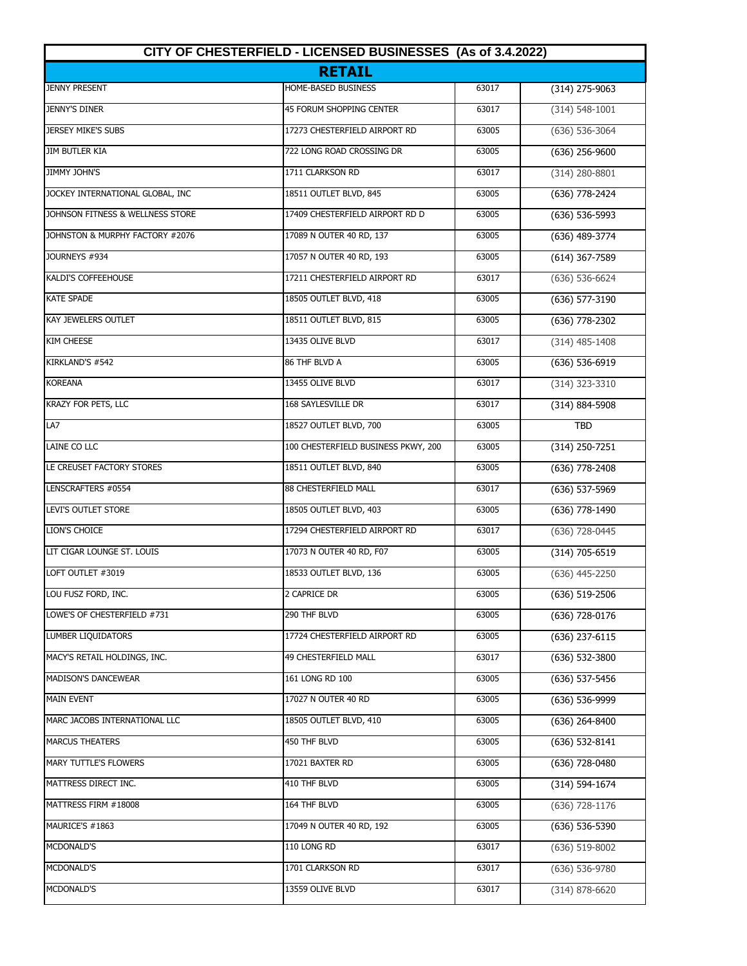| CITY OF CHESTERFIELD - LICENSED BUSINESSES (As of 3.4.2022)<br><b>RETAIL</b> |                                     |       |                    |
|------------------------------------------------------------------------------|-------------------------------------|-------|--------------------|
|                                                                              |                                     |       |                    |
| <b>JENNY'S DINER</b>                                                         | <b>45 FORUM SHOPPING CENTER</b>     | 63017 | $(314) 548 - 1001$ |
| <b>JERSEY MIKE'S SUBS</b>                                                    | 17273 CHESTERFIELD AIRPORT RD       | 63005 | $(636) 536 - 3064$ |
| <b>JIM BUTLER KIA</b>                                                        | 722 LONG ROAD CROSSING DR           | 63005 | $(636)$ 256-9600   |
| JIMMY JOHN'S                                                                 | 1711 CLARKSON RD                    | 63017 | $(314)$ 280-8801   |
| JOCKEY INTERNATIONAL GLOBAL, INC                                             | 18511 OUTLET BLVD, 845              | 63005 | (636) 778-2424     |
| JOHNSON FITNESS & WELLNESS STORE                                             | 17409 CHESTERFIELD AIRPORT RD D     | 63005 | $(636) 536 - 5993$ |
| JOHNSTON & MURPHY FACTORY #2076                                              | 17089 N OUTER 40 RD, 137            | 63005 | $(636)$ 489-3774   |
| JOURNEYS #934                                                                | 17057 N OUTER 40 RD, 193            | 63005 | $(614)$ 367-7589   |
| KALDI'S COFFEEHOUSE                                                          | 17211 CHESTERFIELD AIRPORT RD       | 63017 | $(636) 536-6624$   |
| <b>KATE SPADE</b>                                                            | 18505 OUTLET BLVD, 418              | 63005 | (636) 577-3190     |
| <b>KAY JEWELERS OUTLET</b>                                                   | 18511 OUTLET BLVD, 815              | 63005 | $(636)$ 778-2302   |
| <b>KIM CHEESE</b>                                                            | 13435 OLIVE BLVD                    | 63017 | $(314)$ 485-1408   |
| KIRKLAND'S #542                                                              | 86 THF BLVD A                       | 63005 | $(636) 536-6919$   |
| <b>KOREANA</b>                                                               | 13455 OLIVE BLVD                    | 63017 | (314) 323-3310     |
| KRAZY FOR PETS, LLC                                                          | 168 SAYLESVILLE DR                  | 63017 | (314) 884-5908     |
| LA7                                                                          | 18527 OUTLET BLVD, 700              | 63005 | <b>TBD</b>         |
| LAINE CO LLC                                                                 | 100 CHESTERFIELD BUSINESS PKWY, 200 | 63005 | $(314)$ 250-7251   |
| LE CREUSET FACTORY STORES                                                    | 18511 OUTLET BLVD, 840              | 63005 | $(636)$ 778-2408   |
| LENSCRAFTERS #0554                                                           | 88 CHESTERFIELD MALL                | 63017 | (636) 537-5969     |
| <b>LEVI'S OUTLET STORE</b>                                                   | 18505 OUTLET BLVD, 403              | 63005 | $(636)$ 778-1490   |
| LION'S CHOICE                                                                | 17294 CHESTERFIELD AIRPORT RD       | 63017 | $(636)$ 728-0445   |
| LIT CIGAR LOUNGE ST. LOUIS                                                   | 17073 N OUTER 40 RD, F07            | 63005 | (314) 705-6519     |
| LOFT OUTLET #3019                                                            | 18533 OUTLET BLVD, 136              | 63005 | $(636)$ 445-2250   |
| LOU FUSZ FORD, INC.                                                          | 2 CAPRICE DR                        | 63005 | (636) 519-2506     |
| LOWE'S OF CHESTERFIELD #731                                                  | 290 THF BLVD                        | 63005 | (636) 728-0176     |
| LUMBER LIQUIDATORS                                                           | 17724 CHESTERFIELD AIRPORT RD       | 63005 | $(636)$ 237-6115   |
| MACY'S RETAIL HOLDINGS, INC.                                                 | 49 CHESTERFIELD MALL                | 63017 | (636) 532-3800     |
| <b>MADISON'S DANCEWEAR</b>                                                   | 161 LONG RD 100                     | 63005 | $(636)$ 537-5456   |
| <b>MAIN EVENT</b>                                                            | 17027 N OUTER 40 RD                 | 63005 | (636) 536-9999     |
| MARC JACOBS INTERNATIONAL LLC                                                | 18505 OUTLET BLVD, 410              | 63005 | $(636)$ 264-8400   |
| <b>MARCUS THEATERS</b>                                                       | 450 THF BLVD                        | 63005 | $(636)$ 532-8141   |
| MARY TUTTLE'S FLOWERS                                                        | 17021 BAXTER RD                     | 63005 | (636) 728-0480     |
| MATTRESS DIRECT INC.                                                         | 410 THF BLVD                        | 63005 | $(314) 594-1674$   |
| MATTRESS FIRM #18008                                                         | 164 THF BLVD                        | 63005 | $(636)$ 728-1176   |
| MAURICE'S #1863                                                              | 17049 N OUTER 40 RD, 192            | 63005 | $(636)$ 536-5390   |
| <b>MCDONALD'S</b>                                                            | 110 LONG RD                         | 63017 | $(636)$ 519-8002   |
| MCDONALD'S                                                                   | 1701 CLARKSON RD                    | 63017 | (636) 536-9780     |
| <b>MCDONALD'S</b>                                                            | 13559 OLIVE BLVD                    | 63017 | $(314) 878 - 6620$ |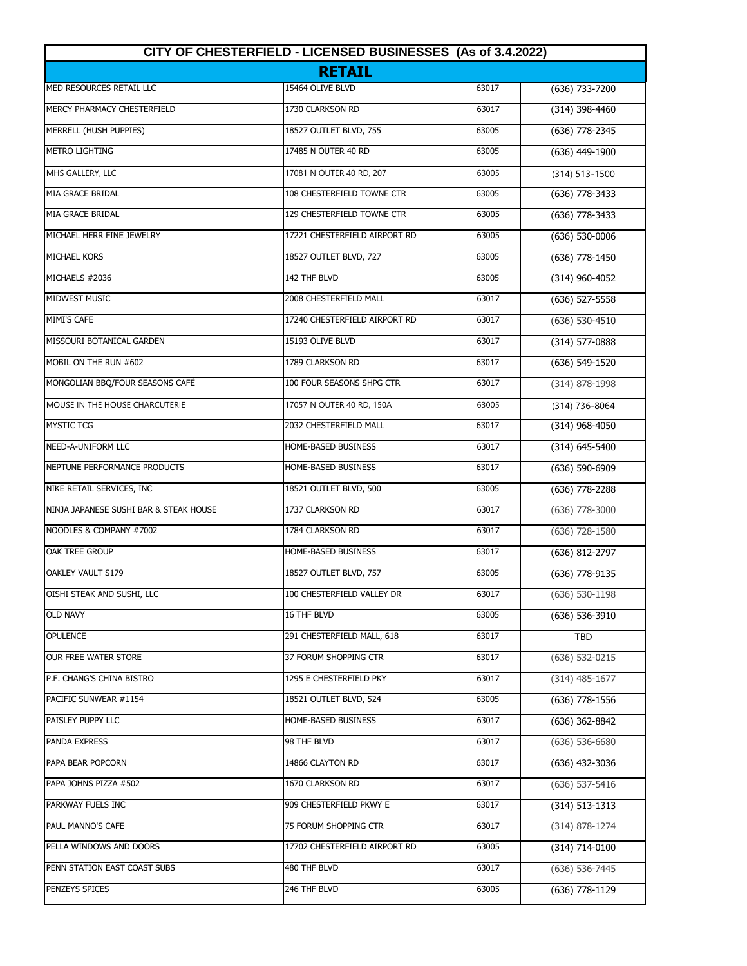| CITY OF CHESTERFIELD - LICENSED BUSINESSES (As of 3.4.2022)<br><b>RETAIL</b> |                               |       |                    |
|------------------------------------------------------------------------------|-------------------------------|-------|--------------------|
|                                                                              |                               |       |                    |
| MERCY PHARMACY CHESTERFIELD                                                  | 1730 CLARKSON RD              | 63017 | (314) 398-4460     |
| MERRELL (HUSH PUPPIES)                                                       | 18527 OUTLET BLVD, 755        | 63005 | (636) 778-2345     |
| <b>METRO LIGHTING</b>                                                        | 17485 N OUTER 40 RD           | 63005 | (636) 449-1900     |
| MHS GALLERY, LLC                                                             | 17081 N OUTER 40 RD, 207      | 63005 | (314) 513-1500     |
| MIA GRACE BRIDAL                                                             | 108 CHESTERFIELD TOWNE CTR    | 63005 | (636) 778-3433     |
| MIA GRACE BRIDAL                                                             | 129 CHESTERFIELD TOWNE CTR    | 63005 | $(636)$ 778-3433   |
| MICHAEL HERR FINE JEWELRY                                                    | 17221 CHESTERFIELD AIRPORT RD | 63005 | $(636) 530 - 0006$ |
| MICHAEL KORS                                                                 | 18527 OUTLET BLVD, 727        | 63005 | (636) 778-1450     |
| MICHAELS #2036                                                               | 142 THF BLVD                  | 63005 | $(314)$ 960-4052   |
| MIDWEST MUSIC                                                                | 2008 CHESTERFIELD MALL        | 63017 | (636) 527-5558     |
| MIMI'S CAFE                                                                  | 17240 CHESTERFIELD AIRPORT RD | 63017 | $(636) 530 - 4510$ |
| MISSOURI BOTANICAL GARDEN                                                    | 15193 OLIVE BLVD              | 63017 | $(314) 577 - 0888$ |
| MOBIL ON THE RUN #602                                                        | 1789 CLARKSON RD              | 63017 | (636) 549-1520     |
| MONGOLIAN BBQ/FOUR SEASONS CAFÉ                                              | 100 FOUR SEASONS SHPG CTR     | 63017 | (314) 878-1998     |
| MOUSE IN THE HOUSE CHARCUTERIE                                               | 17057 N OUTER 40 RD, 150A     | 63005 | (314) 736-8064     |
| <b>MYSTIC TCG</b>                                                            | 2032 CHESTERFIELD MALL        | 63017 | (314) 968-4050     |
| <b>NEED-A-UNIFORM LLC</b>                                                    | HOME-BASED BUSINESS           | 63017 | $(314) 645 - 5400$ |
| NEPTUNE PERFORMANCE PRODUCTS                                                 | HOME-BASED BUSINESS           | 63017 | (636) 590-6909     |
| NIKE RETAIL SERVICES, INC                                                    | 18521 OUTLET BLVD, 500        | 63005 | (636) 778-2288     |
| NINJA JAPANESE SUSHI BAR & STEAK HOUSE                                       | 1737 CLARKSON RD              | 63017 | $(636)$ 778-3000   |
| NOODLES & COMPANY #7002                                                      | 1784 CLARKSON RD              | 63017 | (636) 728-1580     |
| <b>OAK TREE GROUP</b>                                                        | HOME-BASED BUSINESS           | 63017 | (636) 812-2797     |
| OAKLEY VAULT S179                                                            | 18527 OUTLET BLVD, 757        | 63005 | (636) 778-9135     |
| OISHI STEAK AND SUSHI, LLC                                                   | 100 CHESTERFIELD VALLEY DR    | 63017 | $(636) 530 - 1198$ |
| <b>OLD NAVY</b>                                                              | 16 THF BLVD                   | 63005 | (636) 536-3910     |
| <b>OPULENCE</b>                                                              | 291 CHESTERFIELD MALL, 618    | 63017 | TBD                |
| OUR FREE WATER STORE                                                         | 37 FORUM SHOPPING CTR         | 63017 | (636) 532-0215     |
| P.F. CHANG'S CHINA BISTRO                                                    | 1295 E CHESTERFIELD PKY       | 63017 | $(314)$ 485-1677   |
| PACIFIC SUNWEAR #1154                                                        | 18521 OUTLET BLVD, 524        | 63005 | (636) 778-1556     |
| PAISLEY PUPPY LLC                                                            | HOME-BASED BUSINESS           | 63017 | (636) 362-8842     |
| PANDA EXPRESS                                                                | 98 THF BLVD                   | 63017 | $(636)$ 536-6680   |
| PAPA BEAR POPCORN                                                            | 14866 CLAYTON RD              | 63017 | (636) 432-3036     |
| PAPA JOHNS PIZZA #502                                                        | 1670 CLARKSON RD              | 63017 | $(636)$ 537-5416   |
| PARKWAY FUELS INC                                                            | 909 CHESTERFIELD PKWY E       | 63017 | $(314) 513 - 1313$ |
| PAUL MANNO'S CAFE                                                            | 75 Forum Shopping CTR         | 63017 | (314) 878-1274     |
| PELLA WINDOWS AND DOORS                                                      | 17702 CHESTERFIELD AIRPORT RD | 63005 | $(314) 714 - 0100$ |
| PENN STATION EAST COAST SUBS                                                 | 480 THF BLVD                  | 63017 | $(636) 536 - 7445$ |
| PENZEYS SPICES                                                               | 246 THF BLVD                  | 63005 | (636) 778-1129     |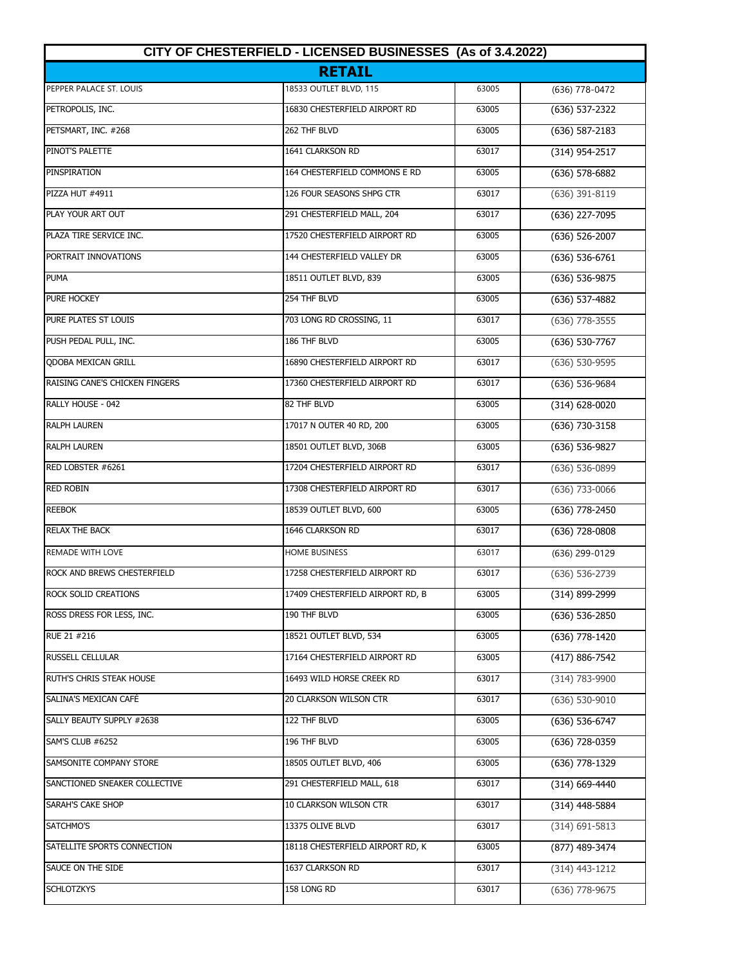| CITY OF CHESTERFIELD - LICENSED BUSINESSES (As of 3.4.2022)<br><b>RETAIL</b> |                                  |       |                    |
|------------------------------------------------------------------------------|----------------------------------|-------|--------------------|
|                                                                              |                                  |       |                    |
| PETROPOLIS, INC.                                                             | 16830 CHESTERFIELD AIRPORT RD    | 63005 | (636) 537-2322     |
| PETSMART, INC. #268                                                          | 262 THF BLVD                     | 63005 | $(636) 587 - 2183$ |
| PINOT'S PALETTE                                                              | 1641 CLARKSON RD                 | 63017 | (314) 954-2517     |
| PINSPIRATION                                                                 | 164 CHESTERFIELD COMMONS E RD    | 63005 | $(636)$ 578-6882   |
| <b>PIZZA HUT #4911</b>                                                       | 126 FOUR SEASONS SHPG CTR        | 63017 | $(636)$ 391-8119   |
| PLAY YOUR ART OUT                                                            | 291 CHESTERFIELD MALL, 204       | 63017 | (636) 227-7095     |
| PLAZA TIRE SERVICE INC.                                                      | 17520 CHESTERFIELD AIRPORT RD    | 63005 | $(636)$ 526-2007   |
| PORTRAIT INNOVATIONS                                                         | 144 CHESTERFIELD VALLEY DR       | 63005 | $(636) 536-6761$   |
| <b>PUMA</b>                                                                  | 18511 OUTLET BLVD, 839           | 63005 | $(636) 536-9875$   |
| PURE HOCKEY                                                                  | 254 THF BLVD                     | 63005 | (636) 537-4882     |
| PURE PLATES ST LOUIS                                                         | 703 LONG RD CROSSING, 11         | 63017 | $(636)$ 778-3555   |
| PUSH PEDAL PULL, INC.                                                        | 186 THF BLVD                     | 63005 | $(636) 530-7767$   |
| <b>ODOBA MEXICAN GRILL</b>                                                   | 16890 CHESTERFIELD AIRPORT RD    | 63017 | $(636) 530 - 9595$ |
| RAISING CANE'S CHICKEN FINGERS                                               | 17360 CHESTERFIELD AIRPORT RD    | 63017 | (636) 536-9684     |
| RALLY HOUSE - 042                                                            | 82 THF BLVD                      | 63005 | $(314) 628 - 0020$ |
| <b>RALPH LAUREN</b>                                                          | 17017 N OUTER 40 RD, 200         | 63005 | (636) 730-3158     |
| <b>RALPH LAUREN</b>                                                          | 18501 OUTLET BLVD, 306B          | 63005 | (636) 536-9827     |
| RED LOBSTER #6261                                                            | 17204 CHESTERFIELD AIRPORT RD    | 63017 | $(636) 536 - 0899$ |
| <b>RED ROBIN</b>                                                             | 17308 CHESTERFIELD AIRPORT RD    | 63017 | $(636) 733 - 0066$ |
| <b>REEBOK</b>                                                                | 18539 OUTLET BLVD, 600           | 63005 | (636) 778-2450     |
| <b>RELAX THE BACK</b>                                                        | 1646 CLARKSON RD                 | 63017 | (636) 728-0808     |
| <b>REMADE WITH LOVE</b>                                                      | <b>HOME BUSINESS</b>             | 63017 | (636) 299-0129     |
| ROCK AND BREWS CHESTERFIELD                                                  | 17258 CHESTERFIELD AIRPORT RD    | 63017 | (636) 536-2739     |
| ROCK SOLID CREATIONS                                                         | 17409 CHESTERFIELD AIRPORT RD, B | 63005 | (314) 899-2999     |
| ROSS DRESS FOR LESS, INC.                                                    | 190 THF BLVD                     | 63005 | $(636)$ 536-2850   |
| RUE 21 #216                                                                  | 18521 OUTLET BLVD, 534           | 63005 | $(636)$ 778-1420   |
| RUSSELL CELLULAR                                                             | 17164 CHESTERFIELD AIRPORT RD    | 63005 | (417) 886-7542     |
| RUTH'S CHRIS STEAK HOUSE                                                     | 16493 WILD HORSE CREEK RD        | 63017 | (314) 783-9900     |
| SALINA'S MEXICAN CAFÉ                                                        | 20 CLARKSON WILSON CTR           | 63017 | $(636)$ 530-9010   |
| SALLY BEAUTY SUPPLY #2638                                                    | 122 THF BLVD                     | 63005 | $(636) 536-6747$   |
| SAM'S CLUB #6252                                                             | 196 THF BLVD                     | 63005 | $(636)$ 728-0359   |
| SAMSONITE COMPANY STORE                                                      | 18505 OUTLET BLVD, 406           | 63005 | (636) 778-1329     |
| SANCTIONED SNEAKER COLLECTIVE                                                | 291 CHESTERFIELD MALL, 618       | 63017 | $(314)$ 669-4440   |
| SARAH'S CAKE SHOP                                                            | 10 CLARKSON WILSON CTR           | 63017 | (314) 448-5884     |
| SATCHMO'S                                                                    | 13375 OLIVE BLVD                 | 63017 | $(314)$ 691-5813   |
| SATELLITE SPORTS CONNECTION                                                  | 18118 CHESTERFIELD AIRPORT RD, K | 63005 | (877) 489-3474     |
| SAUCE ON THE SIDE                                                            | 1637 CLARKSON RD                 | 63017 | $(314)$ 443-1212   |
| <b>SCHLOTZKYS</b>                                                            | 158 LONG RD                      | 63017 | $(636)$ 778-9675   |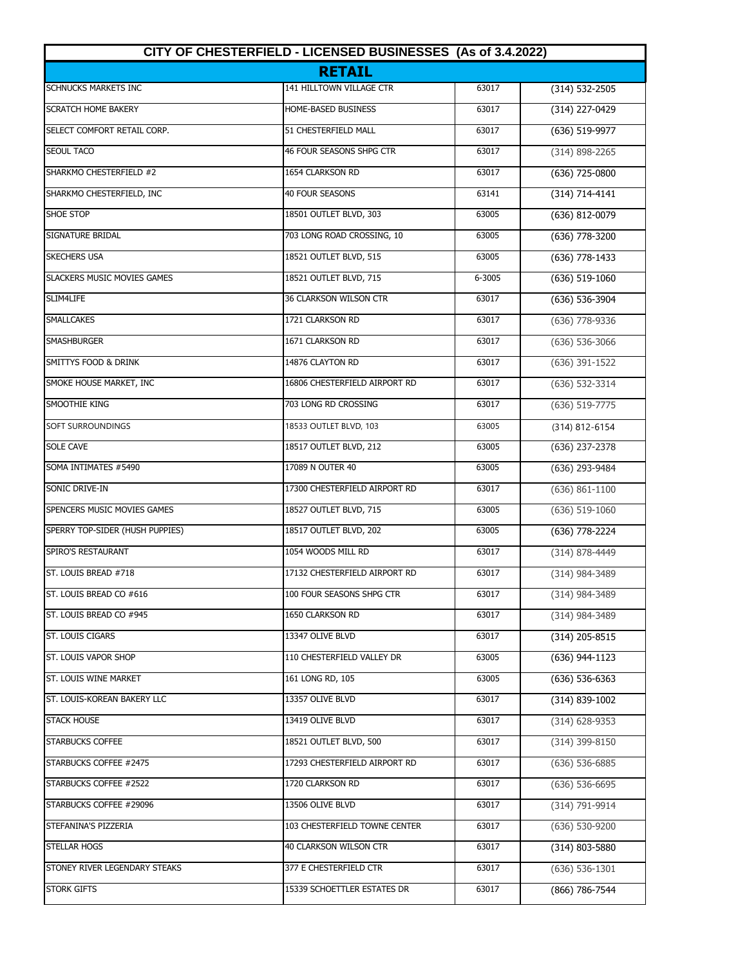| CITY OF CHESTERFIELD - LICENSED BUSINESSES (As of 3.4.2022) |                               |        |                    |  |
|-------------------------------------------------------------|-------------------------------|--------|--------------------|--|
|                                                             | <b>RETAIL</b>                 |        |                    |  |
| <b>SCHNUCKS MARKETS INC</b>                                 | 141 HILLTOWN VILLAGE CTR      | 63017  | (314) 532-2505     |  |
| <b>SCRATCH HOME BAKERY</b>                                  | HOME-BASED BUSINESS           | 63017  | (314) 227-0429     |  |
| SELECT COMFORT RETAIL CORP.                                 | 51 CHESTERFIELD MALL          | 63017  | $(636) 519-9977$   |  |
| <b>SEOUL TACO</b>                                           | 46 FOUR SEASONS SHPG CTR      | 63017  | $(314) 898 - 2265$ |  |
| SHARKMO CHESTERFIELD #2                                     | 1654 CLARKSON RD              | 63017  | $(636)$ 725-0800   |  |
| SHARKMO CHESTERFIELD, INC                                   | 40 FOUR SEASONS               | 63141  | $(314) 714 - 4141$ |  |
| SHOE STOP                                                   | 18501 OUTLET BLVD, 303        | 63005  | (636) 812-0079     |  |
| SIGNATURE BRIDAL                                            | 703 LONG ROAD CROSSING, 10    | 63005  | (636) 778-3200     |  |
| <b>SKECHERS USA</b>                                         | 18521 OUTLET BLVD, 515        | 63005  | $(636)$ 778-1433   |  |
| <b>SLACKERS MUSIC MOVIES GAMES</b>                          | 18521 OUTLET BLVD, 715        | 6-3005 | $(636)$ 519-1060   |  |
| SLIM4LIFE                                                   | <b>36 CLARKSON WILSON CTR</b> | 63017  | (636) 536-3904     |  |
| <b>SMALLCAKES</b>                                           | 1721 CLARKSON RD              | 63017  | (636) 778-9336     |  |
| <b>SMASHBURGER</b>                                          | 1671 CLARKSON RD              | 63017  | $(636) 536 - 3066$ |  |
| SMITTYS FOOD & DRINK                                        | 14876 CLAYTON RD              | 63017  | $(636)$ 391-1522   |  |
| SMOKE HOUSE MARKET, INC                                     | 16806 CHESTERFIELD AIRPORT RD | 63017  | (636) 532-3314     |  |
| <b>SMOOTHIE KING</b>                                        | 703 LONG RD CROSSING          | 63017  | $(636) 519-7775$   |  |
| <b>SOFT SURROUNDINGS</b>                                    | 18533 OUTLET BLVD, 103        | 63005  | (314) 812-6154     |  |
| <b>SOLE CAVE</b>                                            | 18517 OUTLET BLVD, 212        | 63005  | (636) 237-2378     |  |
| SOMA INTIMATES #5490                                        | 17089 N OUTER 40              | 63005  | (636) 293-9484     |  |
| SONIC DRIVE-IN                                              | 17300 CHESTERFIELD AIRPORT RD | 63017  | $(636) 861 - 1100$ |  |
| SPENCERS MUSIC MOVIES GAMES                                 | 18527 OUTLET BLVD, 715        | 63005  | $(636) 519-1060$   |  |
| SPERRY TOP-SIDER (HUSH PUPPIES)                             | 18517 OUTLET BLVD, 202        | 63005  | (636) 778-2224     |  |
| SPIRO'S RESTAURANT                                          | 1054 WOODS MILL RD            | 63017  | (314) 878-4449     |  |
| ST. LOUIS BREAD #718                                        | 17132 CHESTERFIELD AIRPORT RD | 63017  | (314) 984-3489     |  |
| ST. LOUIS BREAD CO #616                                     | 100 FOUR SEASONS SHPG CTR     | 63017  | (314) 984-3489     |  |
| ST. LOUIS BREAD CO #945                                     | 1650 CLARKSON RD              | 63017  | (314) 984-3489     |  |
| ST. LOUIS CIGARS                                            | 13347 OLIVE BLVD              | 63017  | $(314)$ 205-8515   |  |
| ST. LOUIS VAPOR SHOP                                        | 110 CHESTERFIELD VALLEY DR    | 63005  | $(636)$ 944-1123   |  |
| ST. LOUIS WINE MARKET                                       | 161 LONG RD, 105              | 63005  | $(636) 536-6363$   |  |
| ST. LOUIS-KOREAN BAKERY LLC                                 | 13357 OLIVE BLVD              | 63017  | $(314)$ 839-1002   |  |
| <b>STACK HOUSE</b>                                          | 13419 OLIVE BLVD              | 63017  | $(314)$ 628-9353   |  |
| <b>STARBUCKS COFFEE</b>                                     | 18521 OUTLET BLVD, 500        | 63017  | $(314)$ 399-8150   |  |
| STARBUCKS COFFEE #2475                                      | 17293 CHESTERFIELD AIRPORT RD | 63017  | $(636)$ 536-6885   |  |
| STARBUCKS COFFEE #2522                                      | 1720 CLARKSON RD              | 63017  | $(636)$ 536-6695   |  |
| STARBUCKS COFFEE #29096                                     | 13506 OLIVE BLVD              | 63017  | (314) 791-9914     |  |
| STEFANINA'S PIZZERIA                                        | 103 CHESTERFIELD TOWNE CENTER | 63017  | $(636) 530-9200$   |  |
| STELLAR HOGS                                                | 40 CLARKSON WILSON CTR        | 63017  | (314) 803-5880     |  |
| STONEY RIVER LEGENDARY STEAKS                               | 377 E CHESTERFIELD CTR        | 63017  | $(636) 536 - 1301$ |  |
| <b>STORK GIFTS</b>                                          | 15339 SCHOETTLER ESTATES DR   | 63017  | (866) 786-7544     |  |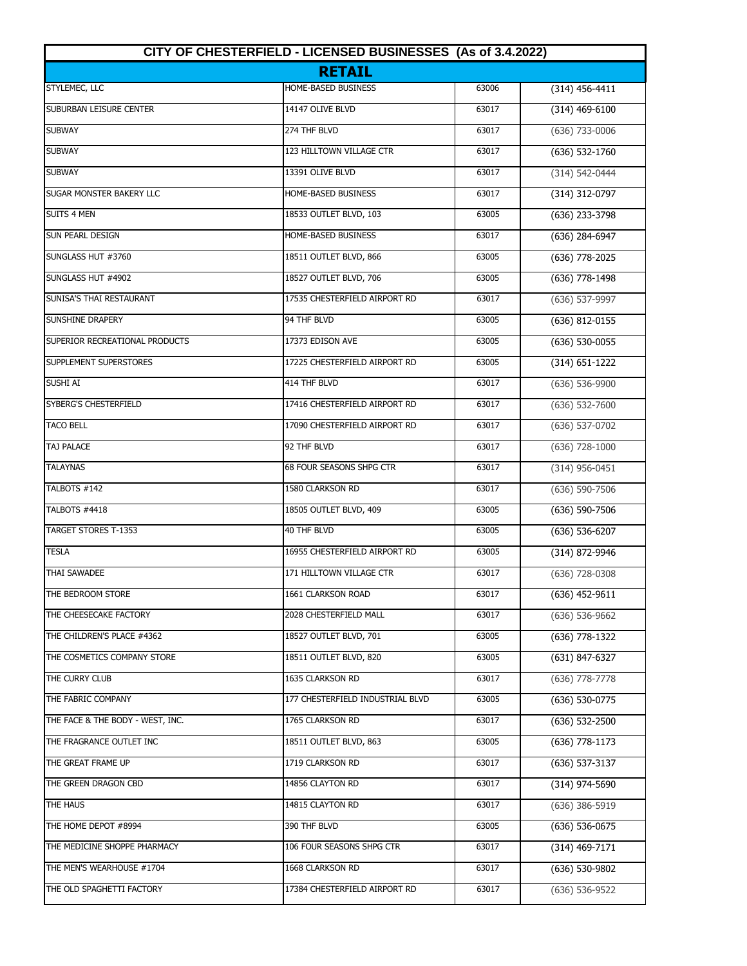| CITY OF CHESTERFIELD - LICENSED BUSINESSES (As of 3.4.2022) |                                  |       |                    |
|-------------------------------------------------------------|----------------------------------|-------|--------------------|
|                                                             | <b>RETAIL</b>                    |       |                    |
| STYLEMEC, LLC                                               | <b>HOME-BASED BUSINESS</b>       | 63006 | $(314)$ 456-4411   |
| SUBURBAN LEISURE CENTER                                     | 14147 OLIVE BLVD                 | 63017 | $(314)$ 469-6100   |
| <b>SUBWAY</b>                                               | 274 THF BLVD                     | 63017 | $(636)$ 733-0006   |
| <b>SUBWAY</b>                                               | 123 HILLTOWN VILLAGE CTR         | 63017 | $(636) 532 - 1760$ |
| <b>SUBWAY</b>                                               | 13391 OLIVE BLVD                 | 63017 | (314) 542-0444     |
| SUGAR MONSTER BAKERY LLC                                    | HOME-BASED BUSINESS              | 63017 | (314) 312-0797     |
| <b>SUITS 4 MEN</b>                                          | 18533 OUTLET BLVD, 103           | 63005 | (636) 233-3798     |
| SUN PEARL DESIGN                                            | HOME-BASED BUSINESS              | 63017 | (636) 284-6947     |
| SUNGLASS HUT #3760                                          | 18511 OUTLET BLVD, 866           | 63005 | (636) 778-2025     |
| SUNGLASS HUT #4902                                          | 18527 OUTLET BLVD, 706           | 63005 | (636) 778-1498     |
| SUNISA'S THAI RESTAURANT                                    | 17535 CHESTERFIELD AIRPORT RD    | 63017 | (636) 537-9997     |
| <b>SUNSHINE DRAPERY</b>                                     | 94 THF BLVD                      | 63005 | (636) 812-0155     |
| SUPERIOR RECREATIONAL PRODUCTS                              | 17373 EDISON AVE                 | 63005 | $(636) 530 - 0055$ |
| SUPPLEMENT SUPERSTORES                                      | 17225 CHESTERFIELD AIRPORT RD    | 63005 | $(314) 651 - 1222$ |
| SUSHI AI                                                    | 414 THF BLVD                     | 63017 | $(636) 536-9900$   |
| SYBERG'S CHESTERFIELD                                       | 17416 CHESTERFIELD AIRPORT RD    | 63017 | $(636) 532 - 7600$ |
| <b>TACO BELL</b>                                            | 17090 CHESTERFIELD AIRPORT RD    | 63017 | (636) 537-0702     |
| <b>TAJ PALACE</b>                                           | 92 THF BLVD                      | 63017 | $(636)$ 728-1000   |
| <b>TALAYNAS</b>                                             | 68 FOUR SEASONS SHPG CTR         | 63017 | $(314)$ 956-0451   |
| TALBOTS #142                                                | 1580 CLARKSON RD                 | 63017 | $(636) 590 - 7506$ |
| TALBOTS #4418                                               | 18505 OUTLET BLVD, 409           | 63005 | (636) 590-7506     |
| <b>TARGET STORES T-1353</b>                                 | 40 THF BLVD                      | 63005 | (636) 536-6207     |
| <b>TESLA</b>                                                | 16955 CHESTERFIELD AIRPORT RD    | 63005 | (314) 872-9946     |
| <b>THAI SAWADEE</b>                                         | 171 HILLTOWN VILLAGE CTR         | 63017 | $(636)$ 728-0308   |
| THE BEDROOM STORE                                           | 1661 CLARKSON ROAD               | 63017 | $(636)$ 452-9611   |
| THE CHEESECAKE FACTORY                                      | 2028 CHESTERFIELD MALL           | 63017 | $(636) 536 - 9662$ |
| THE CHILDREN'S PLACE #4362                                  | 18527 OUTLET BLVD, 701           | 63005 | (636) 778-1322     |
| THE COSMETICS COMPANY STORE                                 | 18511 OUTLET BLVD, 820           | 63005 | (631) 847-6327     |
| THE CURRY CLUB                                              | 1635 CLARKSON RD                 | 63017 | $(636)$ 778-7778   |
| THE FABRIC COMPANY                                          | 177 CHESTERFIELD INDUSTRIAL BLVD | 63005 | (636) 530-0775     |
| THE FACE & THE BODY - WEST, INC.                            | 1765 CLARKSON RD                 | 63017 | $(636)$ 532-2500   |
| THE FRAGRANCE OUTLET INC                                    | 18511 OUTLET BLVD, 863           | 63005 | $(636)$ 778-1173   |
| THE GREAT FRAME UP                                          | 1719 CLARKSON RD                 | 63017 | $(636)$ 537-3137   |
| THE GREEN DRAGON CBD                                        | 14856 CLAYTON RD                 | 63017 | (314) 974-5690     |
| THE HAUS                                                    | 14815 CLAYTON RD                 | 63017 | $(636)$ 386-5919   |
| THE HOME DEPOT #8994                                        | 390 THF BLVD                     | 63005 | $(636)$ 536-0675   |
| THE MEDICINE SHOPPE PHARMACY                                | 106 FOUR SEASONS SHPG CTR        | 63017 | $(314)$ 469-7171   |
| THE MEN'S WEARHOUSE #1704                                   | 1668 CLARKSON RD                 | 63017 | (636) 530-9802     |
| THE OLD SPAGHETTI FACTORY                                   | 17384 CHESTERFIELD AIRPORT RD    | 63017 | $(636) 536 - 9522$ |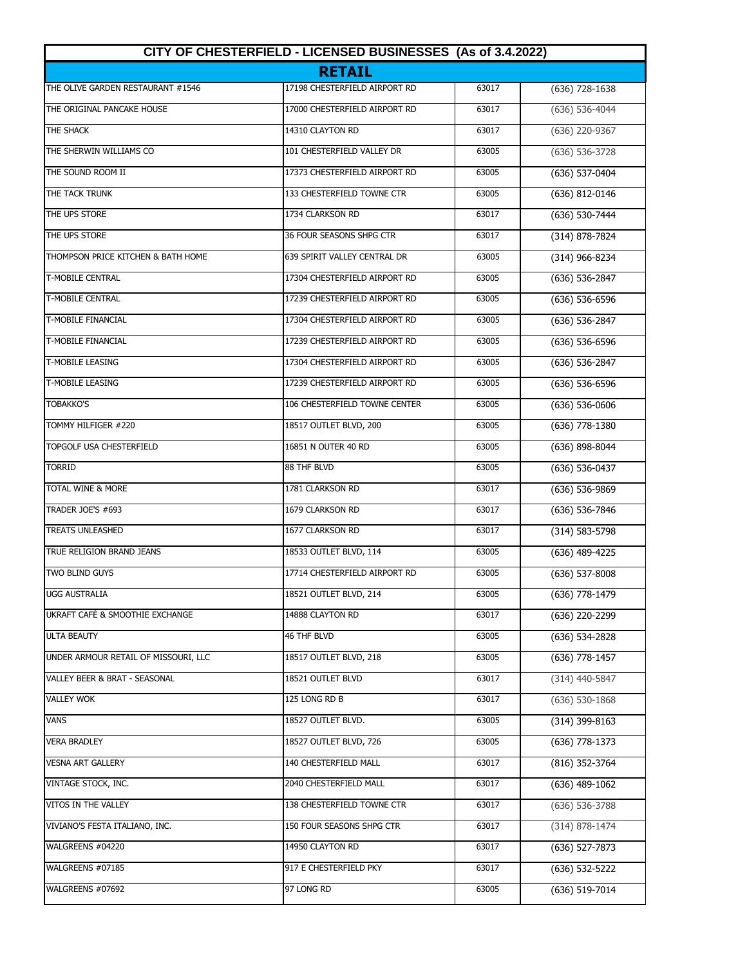| CITY OF CHESTERFIELD - LICENSED BUSINESSES (As of 3.4.2022)<br><b>RETAIL</b> |                               |       |                  |
|------------------------------------------------------------------------------|-------------------------------|-------|------------------|
|                                                                              |                               |       |                  |
| THE ORIGINAL PANCAKE HOUSE                                                   | 17000 CHESTERFIELD AIRPORT RD | 63017 | (636) 536-4044   |
| THE SHACK                                                                    | 14310 CLAYTON RD              | 63017 | (636) 220-9367   |
| THE SHERWIN WILLIAMS CO                                                      | 101 CHESTERFIELD VALLEY DR    | 63005 | (636) 536-3728   |
| THE SOUND ROOM II                                                            | 17373 CHESTERFIELD AIRPORT RD | 63005 | (636) 537-0404   |
| THE TACK TRUNK                                                               | 133 CHESTERFIELD TOWNE CTR    | 63005 | (636) 812-0146   |
| THE UPS STORE                                                                | 1734 CLARKSON RD              | 63017 | (636) 530-7444   |
| THE UPS STORE                                                                | 36 FOUR SEASONS SHPG CTR      | 63017 | (314) 878-7824   |
| THOMPSON PRICE KITCHEN & BATH HOME                                           | 639 SPIRIT VALLEY CENTRAL DR  | 63005 | (314) 966-8234   |
| <b>T-MOBILE CENTRAL</b>                                                      | 17304 CHESTERFIELD AIRPORT RD | 63005 | (636) 536-2847   |
| <b>T-MOBILE CENTRAL</b>                                                      | 17239 CHESTERFIELD AIRPORT RD | 63005 | (636) 536-6596   |
| <b>T-MOBILE FINANCIAL</b>                                                    | 17304 CHESTERFIELD AIRPORT RD | 63005 | (636) 536-2847   |
| <b>T-MOBILE FINANCIAL</b>                                                    | 17239 CHESTERFIELD AIRPORT RD | 63005 | (636) 536-6596   |
| <b>T-MOBILE LEASING</b>                                                      | 17304 CHESTERFIELD AIRPORT RD | 63005 | (636) 536-2847   |
| <b>T-MOBILE LEASING</b>                                                      | 17239 CHESTERFIELD AIRPORT RD | 63005 | (636) 536-6596   |
| <b>TOBAKKO'S</b>                                                             | 106 CHESTERFIELD TOWNE CENTER | 63005 | $(636)$ 536-0606 |
| TOMMY HILFIGER #220                                                          | 18517 OUTLET BLVD, 200        | 63005 | (636) 778-1380   |
| <b>TOPGOLF USA CHESTERFIELD</b>                                              | 16851 N OUTER 40 RD           | 63005 | (636) 898-8044   |
| <b>TORRID</b>                                                                | 88 THF BLVD                   | 63005 | $(636) 536-0437$ |
| <b>TOTAL WINE &amp; MORE</b>                                                 | 1781 CLARKSON RD              | 63017 | (636) 536-9869   |
| <b>TRADER JOE'S #693</b>                                                     | 1679 CLARKSON RD              | 63017 | (636) 536-7846   |
| <b>TREATS UNLEASHED</b>                                                      | 1677 CLARKSON RD              | 63017 | (314) 583-5798   |
| TRUE RELIGION BRAND JEANS                                                    | 18533 OUTLET BLVD, 114        | 63005 | (636) 489-4225   |
| <b>TWO BLIND GUYS</b>                                                        | 17714 CHESTERFIELD AIRPORT RD | 63005 | (636) 537-8008   |
| <b>UGG AUSTRALIA</b>                                                         | 18521 OUTLET BLVD, 214        | 63005 | (636) 778-1479   |
| UKRAFT CAFÉ & SMOOTHIE EXCHANGE                                              | 14888 CLAYTON RD              | 63017 | (636) 220-2299   |
| <b>ULTA BEAUTY</b>                                                           | 46 THF BLVD                   | 63005 | (636) 534-2828   |
| UNDER ARMOUR RETAIL OF MISSOURI, LLC                                         | 18517 OUTLET BLVD, 218        | 63005 | (636) 778-1457   |
| VALLEY BEER & BRAT - SEASONAL                                                | 18521 OUTLET BLVD             | 63017 | (314) 440-5847   |
| <b>VALLEY WOK</b>                                                            | 125 LONG RD B                 | 63017 | $(636)$ 530-1868 |
| <b>VANS</b>                                                                  | 18527 OUTLET BLVD.            | 63005 | $(314)$ 399-8163 |
| <b>VERA BRADLEY</b>                                                          | 18527 OUTLET BLVD, 726        | 63005 | (636) 778-1373   |
| <b>VESNA ART GALLERY</b>                                                     | 140 CHESTERFIELD MALL         | 63017 | (816) 352-3764   |
| VINTAGE STOCK, INC.                                                          | 2040 CHESTERFIELD MALL        | 63017 | $(636)$ 489-1062 |
| VITOS IN THE VALLEY                                                          | 138 CHESTERFIELD TOWNE CTR    | 63017 | $(636)$ 536-3788 |
| VIVIANO'S FESTA ITALIANO, INC.                                               | 150 FOUR SEASONS SHPG CTR     | 63017 | (314) 878-1474   |
| WALGREENS #04220                                                             | 14950 CLAYTON RD              | 63017 | (636) 527-7873   |
| WALGREENS #07185                                                             | 917 E CHESTERFIELD PKY        | 63017 | (636) 532-5222   |
| WALGREENS #07692                                                             | 97 LONG RD                    | 63005 | (636) 519-7014   |